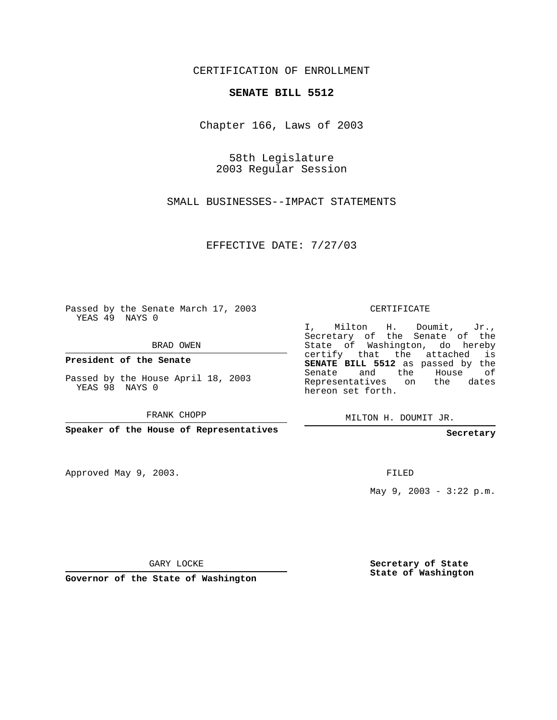CERTIFICATION OF ENROLLMENT

## **SENATE BILL 5512**

Chapter 166, Laws of 2003

58th Legislature 2003 Regular Session

SMALL BUSINESSES--IMPACT STATEMENTS

EFFECTIVE DATE: 7/27/03

Passed by the Senate March 17, 2003 YEAS 49 NAYS 0

BRAD OWEN

**President of the Senate**

Passed by the House April 18, 2003 YEAS 98 NAYS 0

FRANK CHOPP

**Speaker of the House of Representatives**

Approved May 9, 2003.

CERTIFICATE

I, Milton H. Doumit, Jr., Secretary of the Senate of the State of Washington, do hereby certify that the attached is **SENATE BILL 5512** as passed by the Senate and the House of Representatives on the dates hereon set forth.

MILTON H. DOUMIT JR.

**Secretary**

FILED

May 9, 2003 - 3:22 p.m.

GARY LOCKE

**Governor of the State of Washington**

**Secretary of State State of Washington**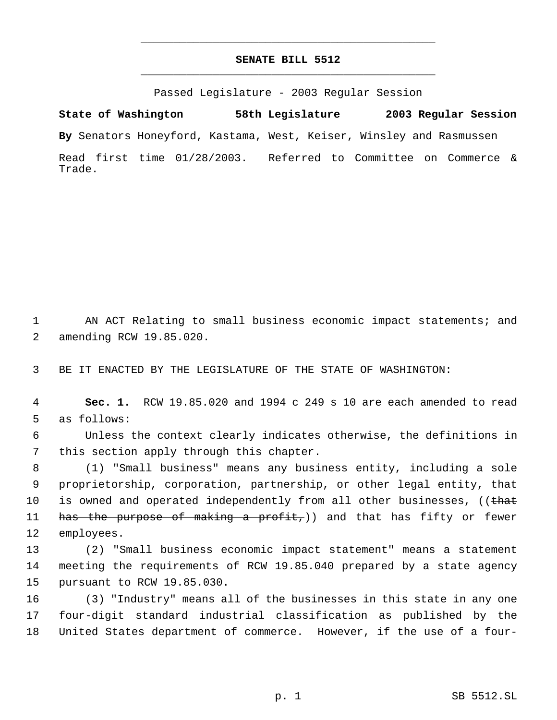## **SENATE BILL 5512** \_\_\_\_\_\_\_\_\_\_\_\_\_\_\_\_\_\_\_\_\_\_\_\_\_\_\_\_\_\_\_\_\_\_\_\_\_\_\_\_\_\_\_\_\_

\_\_\_\_\_\_\_\_\_\_\_\_\_\_\_\_\_\_\_\_\_\_\_\_\_\_\_\_\_\_\_\_\_\_\_\_\_\_\_\_\_\_\_\_\_

Passed Legislature - 2003 Regular Session

**State of Washington 58th Legislature 2003 Regular Session By** Senators Honeyford, Kastama, West, Keiser, Winsley and Rasmussen Read first time 01/28/2003. Referred to Committee on Commerce & Trade.

1 AN ACT Relating to small business economic impact statements; and 2 amending RCW 19.85.020.

3 BE IT ENACTED BY THE LEGISLATURE OF THE STATE OF WASHINGTON:

 4 **Sec. 1.** RCW 19.85.020 and 1994 c 249 s 10 are each amended to read 5 as follows:

 6 Unless the context clearly indicates otherwise, the definitions in 7 this section apply through this chapter.

 8 (1) "Small business" means any business entity, including a sole 9 proprietorship, corporation, partnership, or other legal entity, that 10 is owned and operated independently from all other businesses, ((that 11 has the purpose of making a profit,)) and that has fifty or fewer 12 employees.

13 (2) "Small business economic impact statement" means a statement 14 meeting the requirements of RCW 19.85.040 prepared by a state agency 15 pursuant to RCW 19.85.030.

16 (3) "Industry" means all of the businesses in this state in any one 17 four-digit standard industrial classification as published by the 18 United States department of commerce. However, if the use of a four-